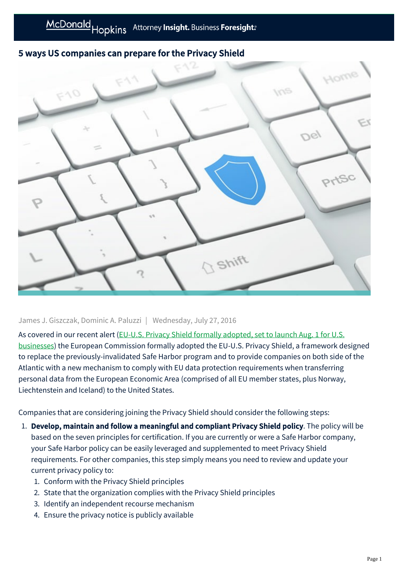## 5 ways US companies can prepare for the Privacy Shield



James J. Giszczak, Dominic A. Paluzzi | Wednesday, July 27, 2016

As covered in our recent alert (EU-U.S. Privacy Shield formally adopted, set to launch Aug. 1 for U.S. [businesses\) the European Commission formally adopted the EU-U.S. Privacy Shield, a framework de](https://mcdonaldhopkins.com/link.aspx?_id=32D3B6E4DE2B4A0882591A70D2FE3764&_z=z)signed to replace the previously-invalidated Safe Harbor program and to provide companies on both side of the Atlantic with a new mechanism to comply with EU data protection requirements when transferring personal data from the European Economic Area (comprised of all EU member states, plus Norway, Liechtenstein and Iceland) to the United States.

Companies that are considering joining the Privacy Shield should consider the following steps:

- 1. Develop, maintain and follow a meaningful and compliant Privacy Shield policy. The policy will be based on the seven principles for certification. If you are currently or were a Safe Harbor company, your Safe Harbor policy can be easily leveraged and supplemented to meet Privacy Shield requirements. For other companies, this step simply means you need to review and update your current privacy policy to:
	- 1. Conform with the Privacy Shield principles
	- 2. State that the organization complies with the Privacy Shield principles
	- 3. Identify an independent recourse mechanism
	- 4. Ensure the privacy notice is publicly available